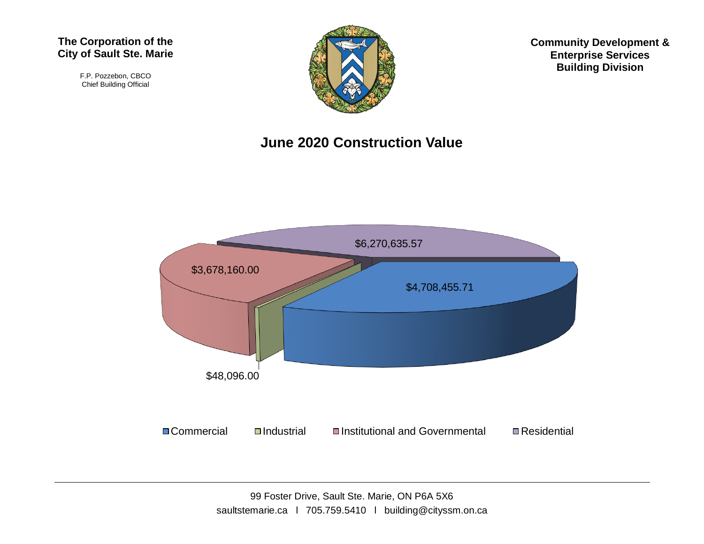#### **The Corporation of the City of Sault Ste. Marie**

F.P. Pozzebon, CBCO Chief Building Official



**Community Development & Enterprise Services Building Division**

#### **June 2020 Construction Value**

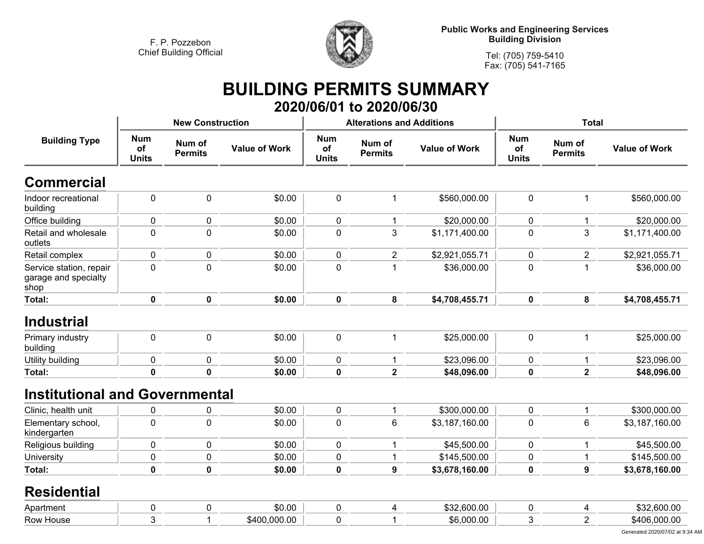

**Public Works and Engineering Services Building Division**

**Tel: (705) 759-5410Fax: (705) 541-7165**

## **BUILDING PERMITS SUMMARY 2020/06/01 to 2020/06/30**

|                                                         |                                                              | <b>New Construction</b> |                      |                                  | <b>Alterations and Additions</b> |                      | <b>Total</b>                     |                          |                      |
|---------------------------------------------------------|--------------------------------------------------------------|-------------------------|----------------------|----------------------------------|----------------------------------|----------------------|----------------------------------|--------------------------|----------------------|
| <b>Building Type</b>                                    | <b>Num</b><br>Num of<br>of<br><b>Permits</b><br><b>Units</b> |                         | <b>Value of Work</b> | <b>Num</b><br>of<br><b>Units</b> | Num of<br><b>Permits</b>         | <b>Value of Work</b> | <b>Num</b><br>of<br><b>Units</b> | Num of<br><b>Permits</b> | <b>Value of Work</b> |
| <b>Commercial</b>                                       |                                                              |                         |                      |                                  |                                  |                      |                                  |                          |                      |
| Indoor recreational<br>building                         | $\pmb{0}$                                                    | $\pmb{0}$               | \$0.00               | $\pmb{0}$                        | $\mathbf{1}$                     | \$560,000.00         | $\mathbf 0$                      | $\mathbf{1}$             | \$560,000.00         |
| Office building                                         | $\pmb{0}$                                                    | $\pmb{0}$               | \$0.00               | $\pmb{0}$                        | 1                                | \$20,000.00          | $\mathbf 0$                      | $\mathbf{1}$             | \$20,000.00          |
| Retail and wholesale<br>outlets                         | $\mathbf 0$                                                  | $\mathbf 0$             | \$0.00               | $\mathbf 0$                      | 3                                | \$1,171,400.00       | $\mathbf 0$                      | 3                        | \$1,171,400.00       |
| Retail complex                                          | $\mathbf 0$                                                  | $\mathbf 0$             | \$0.00               | $\mathbf 0$                      | $\overline{2}$                   | \$2,921,055.71       | $\mathbf{0}$                     | $\overline{2}$           | \$2,921,055.71       |
| Service station, repair<br>garage and specialty<br>shop | $\mathbf 0$                                                  | $\mathbf 0$             | \$0.00               | $\mathbf 0$                      | 1                                | \$36,000.00          | $\overline{0}$                   | $\mathbf{1}$             | \$36,000.00          |
| <b>Total:</b>                                           | $\mathbf 0$                                                  | $\mathbf 0$             | \$0.00               | $\mathbf 0$                      | 8                                | \$4,708,455.71       | $\mathbf{0}$                     | 8                        | \$4,708,455.71       |
| <b>Industrial</b>                                       |                                                              |                         |                      |                                  |                                  |                      |                                  |                          |                      |
| Primary industry<br>building                            | $\pmb{0}$                                                    | $\pmb{0}$               | \$0.00               | $\pmb{0}$                        | $\mathbf{1}$                     | \$25,000.00          | $\mathbf 0$                      | $\mathbf{1}$             | \$25,000.00          |
| Utility building                                        | $\pmb{0}$                                                    | $\pmb{0}$               | \$0.00               | $\pmb{0}$                        | $\mathbf{1}$                     | \$23,096.00          | $\mathbf 0$                      | $\mathbf{1}$             | \$23,096.00          |
| <b>Total:</b>                                           | 0                                                            | $\mathbf 0$             | \$0.00               | $\mathbf 0$                      | $\mathbf{2}$                     | \$48,096.00          | $\bf{0}$                         | $\overline{\mathbf{2}}$  | \$48,096.00          |
| <b>Institutional and Governmental</b>                   |                                                              |                         |                      |                                  |                                  |                      |                                  |                          |                      |
| Clinic, health unit                                     | 0                                                            | $\mathbf 0$             | \$0.00               | 0                                | 1                                | \$300,000.00         | 0                                | 1                        | \$300,000.00         |
| Elementary school,<br>kindergarten                      | $\mathbf 0$                                                  | $\mathbf 0$             | \$0.00               | $\mathbf 0$                      | $6\phantom{1}$                   | \$3,187,160.00       | $\mathbf 0$                      | 6                        | \$3,187,160.00       |
| Religious building                                      | 0                                                            | $\mathbf 0$             | \$0.00               | $\mathbf 0$                      | 1                                | \$45,500.00          | $\mathbf 0$                      | 1                        | \$45,500.00          |
| University                                              | $\pmb{0}$                                                    | $\pmb{0}$               | \$0.00               | $\pmb{0}$                        | 1                                | \$145,500.00         | $\mathbf 0$                      | $\mathbf{1}$             | \$145,500.00         |
| <b>Total:</b>                                           | $\mathbf 0$                                                  | $\mathbf 0$             | \$0.00               | $\mathbf 0$                      | 9                                | \$3,678,160.00       | $\mathbf 0$                      | 9                        | \$3,678,160.00       |
| <b>Residential</b>                                      |                                                              |                         |                      |                                  |                                  |                      |                                  |                          |                      |
| Apartment                                               | $\pmb{0}$                                                    | $\mathbf 0$             | \$0.00               | $\pmb{0}$                        | 4                                | \$32,600.00          | $\mathbf 0$                      | 4                        | \$32,600.00          |
| Row House                                               | 3                                                            | 1                       | \$400,000.00         | $\mathbf 0$                      | 1                                | \$6,000.00           | 3                                | $\overline{2}$           | \$406,000.00         |
|                                                         |                                                              |                         |                      |                                  |                                  |                      |                                  |                          |                      |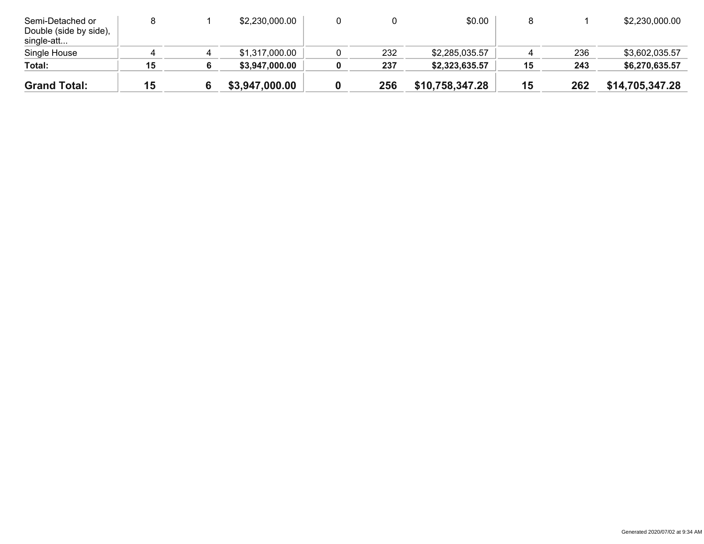| Semi-Detached or<br>Double (side by side),<br>single-att |    | \$2,230,000.00 |     | \$0.00          |    |     | \$2,230,000.00  |
|----------------------------------------------------------|----|----------------|-----|-----------------|----|-----|-----------------|
| Single House                                             |    | \$1,317,000.00 | 232 | \$2,285,035.57  |    | 236 | \$3,602,035.57  |
| Total:                                                   | 15 | \$3,947,000.00 | 237 | \$2,323,635.57  | 15 | 243 | \$6,270,635.57  |
| <b>Grand Total:</b>                                      | 15 | \$3,947,000.00 | 256 | \$10,758,347.28 | 15 | 262 | \$14,705,347.28 |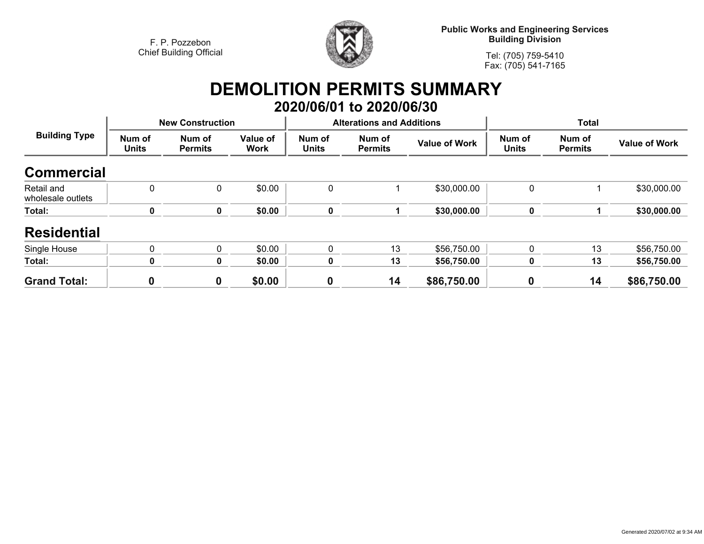

**Public Works and Engineering Services Building Division**

**Tel: (705) 759-5410Fax: (705) 541-7165**

## **DEMOLITION PERMITS SUMMARY 2020/06/01 to 2020/06/30**

| <b>Building Type</b>            |                        | <b>New Construction</b>  |                  |                        | <b>Alterations and Additions</b> |                      | <b>Total</b>           |                          |                      |  |
|---------------------------------|------------------------|--------------------------|------------------|------------------------|----------------------------------|----------------------|------------------------|--------------------------|----------------------|--|
|                                 | Num of<br><b>Units</b> | Num of<br><b>Permits</b> | Value of<br>Work | Num of<br><b>Units</b> | Num of<br><b>Permits</b>         | <b>Value of Work</b> | Num of<br><b>Units</b> | Num of<br><b>Permits</b> | <b>Value of Work</b> |  |
| <b>Commercial</b>               |                        |                          |                  |                        |                                  |                      |                        |                          |                      |  |
| Retail and<br>wholesale outlets | $\mathbf{0}$           | 0                        | \$0.00           | 0                      |                                  | \$30,000.00          | 0                      |                          | \$30,000.00          |  |
| Total:                          | 0                      | 0                        | \$0.00           | $\pmb{0}$              |                                  | \$30,000.00          | 0                      |                          | \$30,000.00          |  |
| <b>Residential</b>              |                        |                          |                  |                        |                                  |                      |                        |                          |                      |  |
| Single House                    | $\mathbf 0$            | 0                        | \$0.00           | 0                      | 13                               | \$56,750.00          | 0                      | 13                       | \$56,750.00          |  |
| Total:                          | 0                      | 0                        | \$0.00           | 0                      | 13                               | \$56,750.00          | 0                      | 13                       | \$56,750.00          |  |
| <b>Grand Total:</b>             | 0                      | 0                        | \$0.00           | 0                      | 14                               | \$86,750.00          | 0                      | 14                       | \$86,750.00          |  |